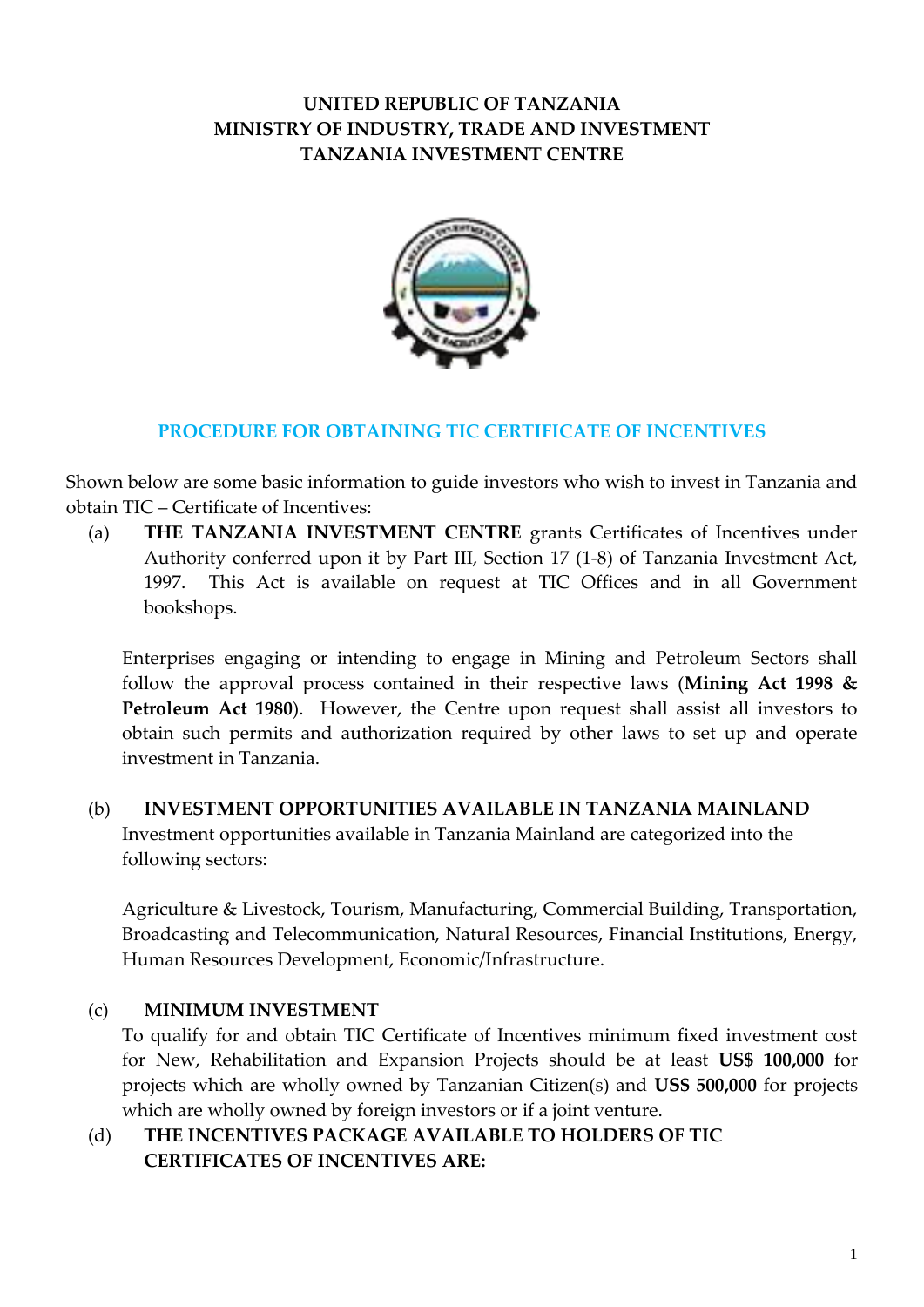# **UNITED REPUBLIC OF TANZANIA MINISTRY OF INDUSTRY, TRADE AND INVESTMENT TANZANIA INVESTMENT CENTRE**



#### **PROCEDURE FOR OBTAINING TIC CERTIFICATE OF INCENTIVES**

Shown below are some basic information to guide investors who wish to invest in Tanzania and obtain TIC – Certificate of Incentives:

(a) **THE TANZANIA INVESTMENT CENTRE** grants Certificates of Incentives under Authority conferred upon it by Part III, Section 17 (1-8) of Tanzania Investment Act, 1997. This Act is available on request at TIC Offices and in all Government bookshops.

Enterprises engaging or intending to engage in Mining and Petroleum Sectors shall follow the approval process contained in their respective laws (**Mining Act 1998 & Petroleum Act 1980**). However, the Centre upon request shall assist all investors to obtain such permits and authorization required by other laws to set up and operate investment in Tanzania.

### (b) **INVESTMENT OPPORTUNITIES AVAILABLE IN TANZANIA MAINLAND**

Investment opportunities available in Tanzania Mainland are categorized into the following sectors:

Agriculture & Livestock, Tourism, Manufacturing, Commercial Building, Transportation, Broadcasting and Telecommunication, Natural Resources, Financial Institutions, Energy, Human Resources Development, Economic/Infrastructure.

### (c) **MINIMUM INVESTMENT**

To qualify for and obtain TIC Certificate of Incentives minimum fixed investment cost for New, Rehabilitation and Expansion Projects should be at least **US\$ 100,000** for projects which are wholly owned by Tanzanian Citizen(s) and **US\$ 500,000** for projects which are wholly owned by foreign investors or if a joint venture.

### (d) **THE INCENTIVES PACKAGE AVAILABLE TO HOLDERS OF TIC CERTIFICATES OF INCENTIVES ARE:**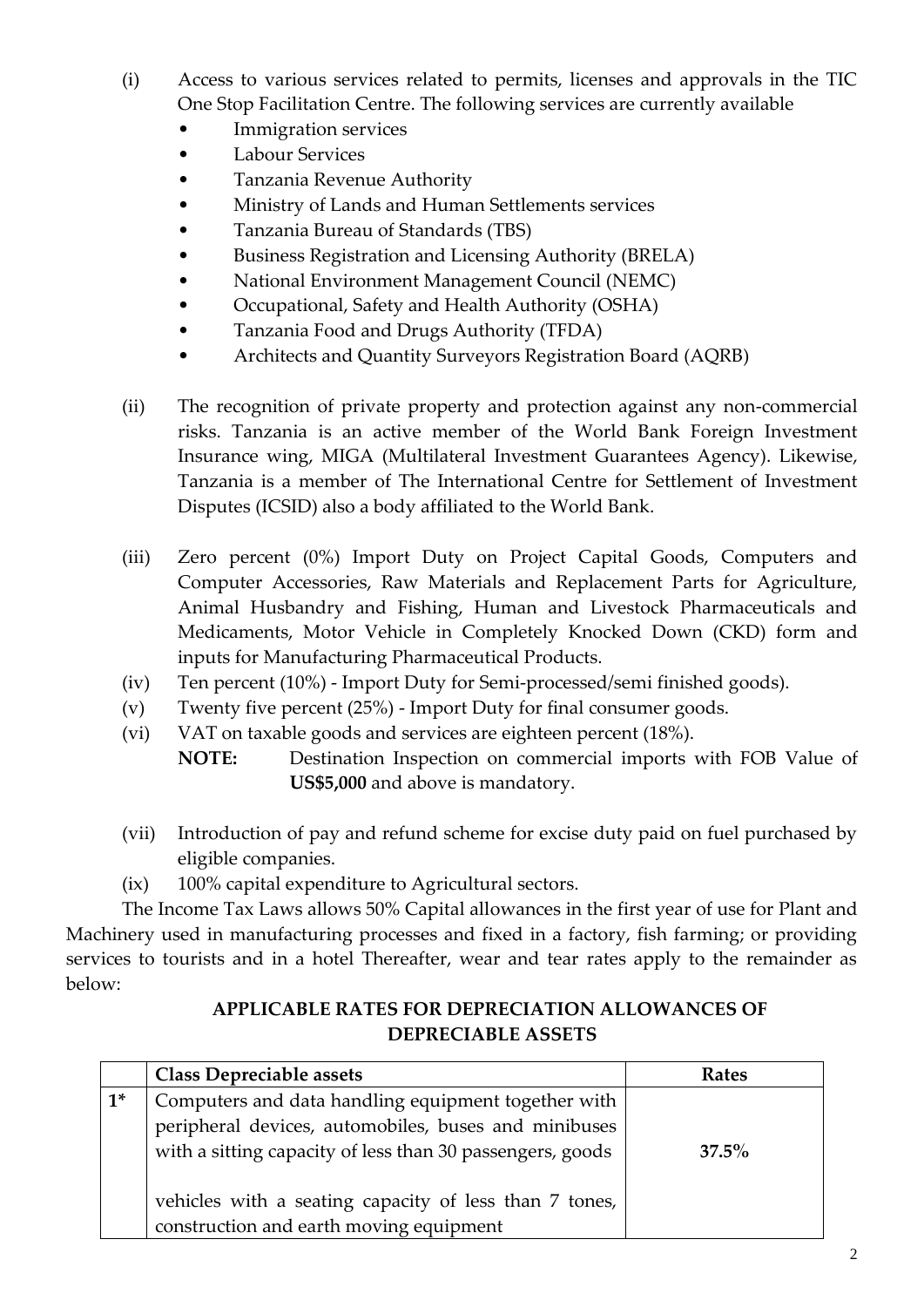- (i) Access to various services related to permits, licenses and approvals in the TIC One Stop Facilitation Centre. The following services are currently available
	- Immigration services
	- Labour Services
	- Tanzania Revenue Authority
	- Ministry of Lands and Human Settlements services
	- Tanzania Bureau of Standards (TBS)
	- Business Registration and Licensing Authority (BRELA)
	- National Environment Management Council (NEMC)
	- Occupational, Safety and Health Authority (OSHA)
	- Tanzania Food and Drugs Authority (TFDA)
	- Architects and Quantity Surveyors Registration Board (AQRB)
- (ii) The recognition of private property and protection against any non-commercial risks. Tanzania is an active member of the World Bank Foreign Investment Insurance wing, MIGA (Multilateral Investment Guarantees Agency). Likewise, Tanzania is a member of The International Centre for Settlement of Investment Disputes (ICSID) also a body affiliated to the World Bank.
- (iii) Zero percent (0%) Import Duty on Project Capital Goods, Computers and Computer Accessories, Raw Materials and Replacement Parts for Agriculture, Animal Husbandry and Fishing, Human and Livestock Pharmaceuticals and Medicaments, Motor Vehicle in Completely Knocked Down (CKD) form and inputs for Manufacturing Pharmaceutical Products.
- (iv) Ten percent (10%) Import Duty for Semi-processed/semi finished goods).
- (v) Twenty five percent (25%) Import Duty for final consumer goods.
- (vi) VAT on taxable goods and services are eighteen percent (18%).
	- **NOTE:** Destination Inspection on commercial imports with FOB Value of **US\$5,000** and above is mandatory.
- (vii) Introduction of pay and refund scheme for excise duty paid on fuel purchased by eligible companies.
- (ix) 100% capital expenditure to Agricultural sectors.

The Income Tax Laws allows 50% Capital allowances in the first year of use for Plant and Machinery used in manufacturing processes and fixed in a factory, fish farming; or providing services to tourists and in a hotel Thereafter, wear and tear rates apply to the remainder as below:

# **APPLICABLE RATES FOR DEPRECIATION ALLOWANCES OF DEPRECIABLE ASSETS**

|       | <b>Class Depreciable assets</b>                           | <b>Rates</b> |
|-------|-----------------------------------------------------------|--------------|
| $1^*$ | Computers and data handling equipment together with       |              |
|       | peripheral devices, automobiles, buses and minibuses      |              |
|       | with a sitting capacity of less than 30 passengers, goods | $37.5\%$     |
|       |                                                           |              |
|       | vehicles with a seating capacity of less than 7 tones,    |              |
|       | construction and earth moving equipment                   |              |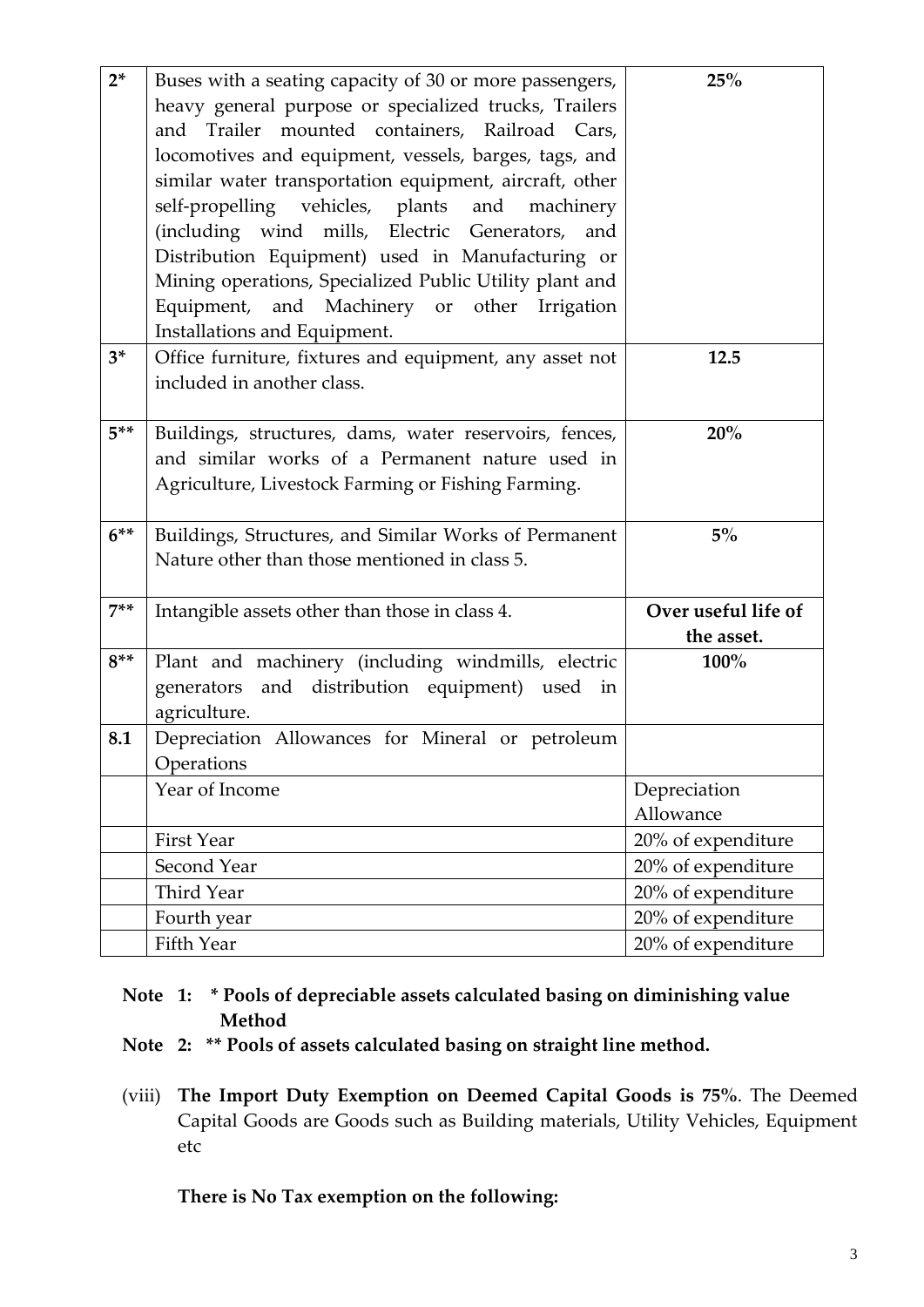| $2*$   | Buses with a seating capacity of 30 or more passengers,<br>heavy general purpose or specialized trucks, Trailers<br>and Trailer mounted containers, Railroad Cars,<br>locomotives and equipment, vessels, barges, tags, and<br>similar water transportation equipment, aircraft, other<br>self-propelling vehicles, plants and<br>machinery<br>(including wind mills, Electric Generators, and<br>Distribution Equipment) used in Manufacturing or<br>Mining operations, Specialized Public Utility plant and<br>Equipment, and Machinery or other Irrigation<br>Installations and Equipment. | 25%                               |
|--------|-----------------------------------------------------------------------------------------------------------------------------------------------------------------------------------------------------------------------------------------------------------------------------------------------------------------------------------------------------------------------------------------------------------------------------------------------------------------------------------------------------------------------------------------------------------------------------------------------|-----------------------------------|
| $3^*$  | Office furniture, fixtures and equipment, any asset not<br>included in another class.                                                                                                                                                                                                                                                                                                                                                                                                                                                                                                         | 12.5                              |
| $5***$ | Buildings, structures, dams, water reservoirs, fences,<br>and similar works of a Permanent nature used in<br>Agriculture, Livestock Farming or Fishing Farming.                                                                                                                                                                                                                                                                                                                                                                                                                               | 20%                               |
| $6***$ | Buildings, Structures, and Similar Works of Permanent<br>Nature other than those mentioned in class 5.                                                                                                                                                                                                                                                                                                                                                                                                                                                                                        | $5\%$                             |
| $7**$  | Intangible assets other than those in class 4.                                                                                                                                                                                                                                                                                                                                                                                                                                                                                                                                                | Over useful life of<br>the asset. |
| $8***$ | Plant and machinery (including windmills, electric<br>and distribution equipment) used<br>generators<br>in<br>agriculture.                                                                                                                                                                                                                                                                                                                                                                                                                                                                    | 100%                              |
| 8.1    | Depreciation Allowances for Mineral or petroleum<br>Operations                                                                                                                                                                                                                                                                                                                                                                                                                                                                                                                                |                                   |
|        | Year of Income                                                                                                                                                                                                                                                                                                                                                                                                                                                                                                                                                                                | Depreciation<br>Allowance         |
|        | <b>First Year</b>                                                                                                                                                                                                                                                                                                                                                                                                                                                                                                                                                                             | 20% of expenditure                |
|        | Second Year                                                                                                                                                                                                                                                                                                                                                                                                                                                                                                                                                                                   | 20% of expenditure                |
|        | Third Year                                                                                                                                                                                                                                                                                                                                                                                                                                                                                                                                                                                    | 20% of expenditure                |
|        | Fourth year                                                                                                                                                                                                                                                                                                                                                                                                                                                                                                                                                                                   | 20% of expenditure                |
|        | Fifth Year                                                                                                                                                                                                                                                                                                                                                                                                                                                                                                                                                                                    | 20% of expenditure                |

# **Note 1: \* Pools of depreciable assets calculated basing on diminishing value Method**

- **Note 2: \*\* Pools of assets calculated basing on straight line method.**
- (viii) **The Import Duty Exemption on Deemed Capital Goods is 75%**. The Deemed Capital Goods are Goods such as Building materials, Utility Vehicles, Equipment etc

**There is No Tax exemption on the following:**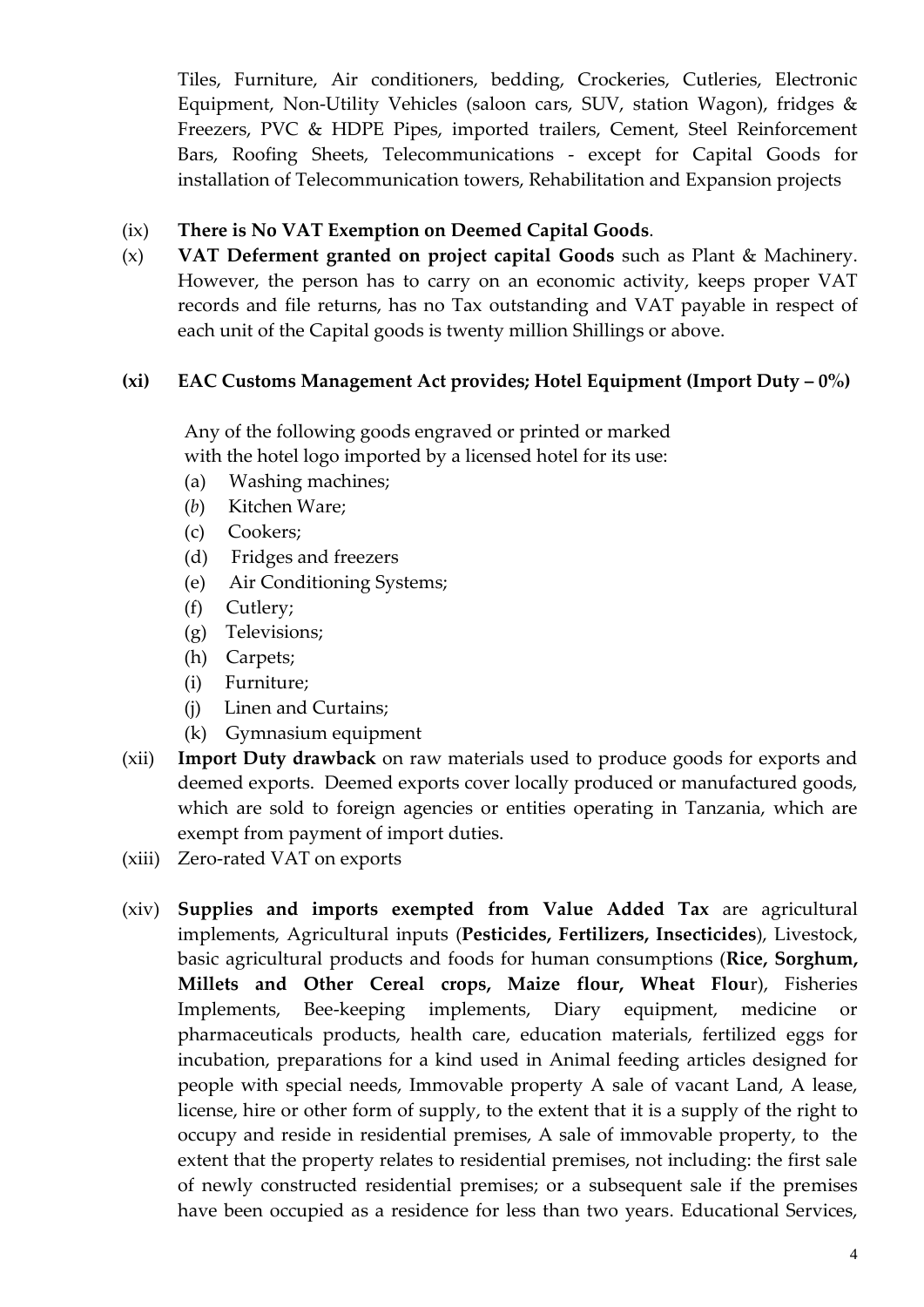Tiles, Furniture, Air conditioners, bedding, Crockeries, Cutleries, Electronic Equipment, Non-Utility Vehicles (saloon cars, SUV, station Wagon), fridges & Freezers, PVC & HDPE Pipes, imported trailers, Cement, Steel Reinforcement Bars, Roofing Sheets, Telecommunications - except for Capital Goods for installation of Telecommunication towers, Rehabilitation and Expansion projects

# (ix) **There is No VAT Exemption on Deemed Capital Goods**.

(x) **VAT Deferment granted on project capital Goods** such as Plant & Machinery. However, the person has to carry on an economic activity, keeps proper VAT records and file returns, has no Tax outstanding and VAT payable in respect of each unit of the Capital goods is twenty million Shillings or above.

# **(xi) EAC Customs Management Act provides; Hotel Equipment (Import Duty – 0%)**

Any of the following goods engraved or printed or marked

with the hotel logo imported by a licensed hotel for its use:

- (a) Washing machines;
- (*b*) Kitchen Ware;
- (c) Cookers;
- (d) Fridges and freezers
- (e) Air Conditioning Systems;
- (f) Cutlery;
- (g) Televisions;
- (h) Carpets;
- (i) Furniture;
- (j) Linen and Curtains;
- (k) Gymnasium equipment
- (xii) **Import Duty drawback** on raw materials used to produce goods for exports and deemed exports. Deemed exports cover locally produced or manufactured goods, which are sold to foreign agencies or entities operating in Tanzania, which are exempt from payment of import duties.
- (xiii) Zero-rated VAT on exports
- (xiv) **Supplies and imports exempted from Value Added Tax** are agricultural implements, Agricultural inputs (**Pesticides, Fertilizers, Insecticides**), Livestock, basic agricultural products and foods for human consumptions (**Rice, Sorghum, Millets and Other Cereal crops, Maize flour, Wheat Flou**r), Fisheries Implements, Bee-keeping implements, Diary equipment, medicine or pharmaceuticals products, health care, education materials, fertilized eggs for incubation, preparations for a kind used in Animal feeding articles designed for people with special needs, Immovable property A sale of vacant Land, A lease, license, hire or other form of supply, to the extent that it is a supply of the right to occupy and reside in residential premises, A sale of immovable property, to the extent that the property relates to residential premises, not including: the first sale of newly constructed residential premises; or a subsequent sale if the premises have been occupied as a residence for less than two years. Educational Services,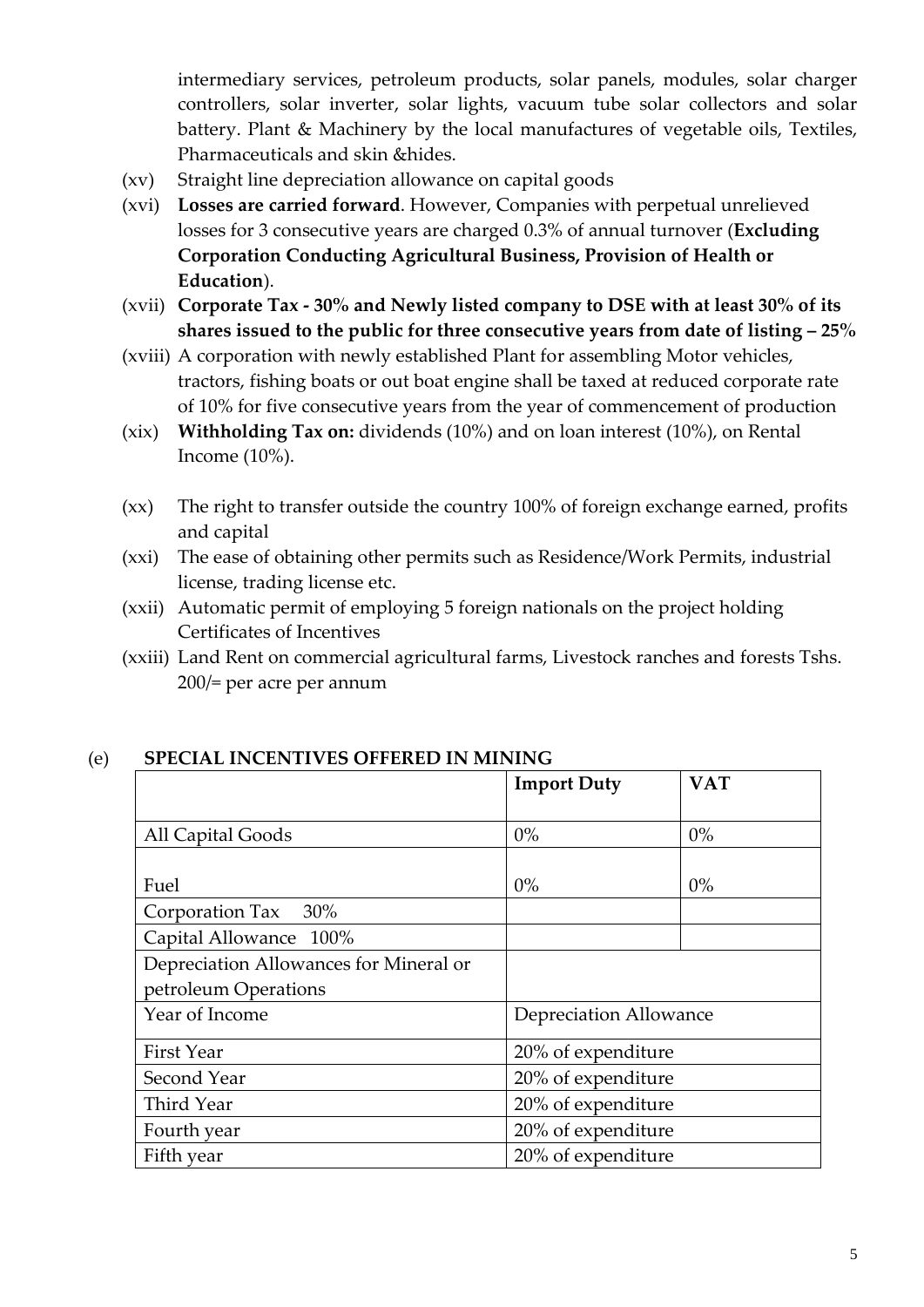intermediary services, petroleum products, solar panels, modules, solar charger controllers, solar inverter, solar lights, vacuum tube solar collectors and solar battery. Plant & Machinery by the local manufactures of vegetable oils, Textiles, Pharmaceuticals and skin &hides.

- (xv) Straight line depreciation allowance on capital goods
- (xvi) **Losses are carried forward**. However, Companies with perpetual unrelieved losses for 3 consecutive years are charged 0.3% of annual turnover (**Excluding Corporation Conducting Agricultural Business, Provision of Health or Education**).
- (xvii) **Corporate Tax - 30% and Newly listed company to DSE with at least 30% of its shares issued to the public for three consecutive years from date of listing – 25%**
- (xviii) A corporation with newly established Plant for assembling Motor vehicles, tractors, fishing boats or out boat engine shall be taxed at reduced corporate rate of 10% for five consecutive years from the year of commencement of production
- (xix) **Withholding Tax on:** dividends (10%) and on loan interest (10%), on Rental Income (10%).
- (xx) The right to transfer outside the country 100% of foreign exchange earned, profits and capital
- (xxi) The ease of obtaining other permits such as Residence/Work Permits, industrial license, trading license etc.
- (xxii) Automatic permit of employing 5 foreign nationals on the project holding Certificates of Incentives
- (xxiii) Land Rent on commercial agricultural farms, Livestock ranches and forests Tshs. 200/= per acre per annum

|                                        | <b>Import Duty</b>            | <b>VAT</b> |
|----------------------------------------|-------------------------------|------------|
|                                        |                               |            |
| All Capital Goods                      | $0\%$                         | $0\%$      |
|                                        |                               |            |
| Fuel                                   | $0\%$                         | $0\%$      |
| Corporation Tax 30%                    |                               |            |
| Capital Allowance 100%                 |                               |            |
| Depreciation Allowances for Mineral or |                               |            |
| petroleum Operations                   |                               |            |
| Year of Income                         | <b>Depreciation Allowance</b> |            |
| First Year                             | 20% of expenditure            |            |
| Second Year                            | 20% of expenditure            |            |
| Third Year                             | 20% of expenditure            |            |
| Fourth year                            | 20% of expenditure            |            |
| Fifth year                             | 20% of expenditure            |            |

#### (e) **SPECIAL INCENTIVES OFFERED IN MINING**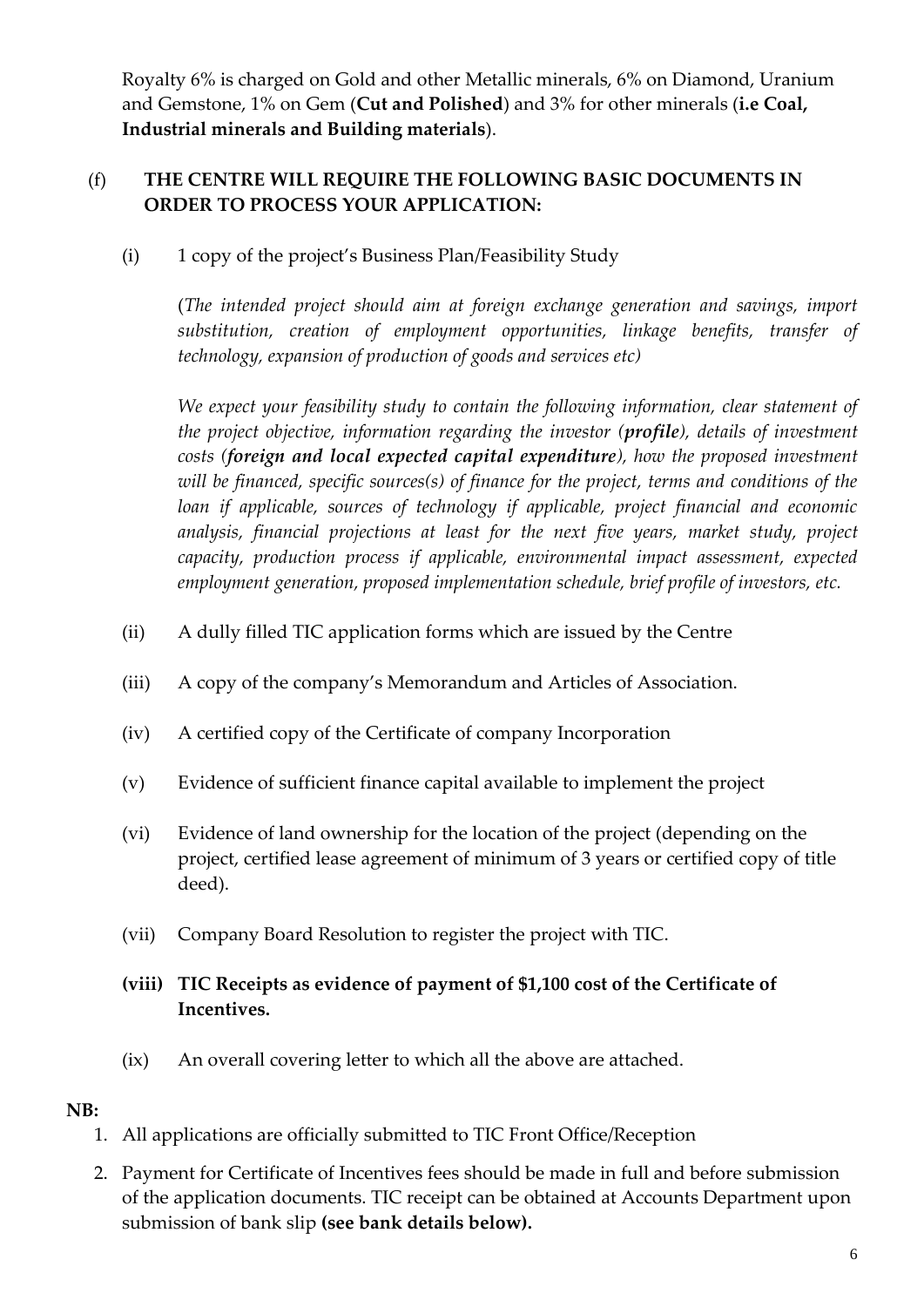Royalty 6% is charged on Gold and other Metallic minerals, 6% on Diamond, Uranium and Gemstone, 1% on Gem (**Cut and Polished**) and 3% for other minerals (**i.e Coal, Industrial minerals and Building materials**).

# (f) **THE CENTRE WILL REQUIRE THE FOLLOWING BASIC DOCUMENTS IN ORDER TO PROCESS YOUR APPLICATION:**

(i) 1 copy of the project's Business Plan/Feasibility Study

(*The intended project should aim at foreign exchange generation and savings, import substitution, creation of employment opportunities, linkage benefits, transfer of technology, expansion of production of goods and services etc)*

*We expect your feasibility study to contain the following information, clear statement of the project objective, information regarding the investor (profile), details of investment costs (foreign and local expected capital expenditure), how the proposed investment will be financed, specific sources(s) of finance for the project, terms and conditions of the loan if applicable, sources of technology if applicable, project financial and economic analysis, financial projections at least for the next five years, market study, project capacity, production process if applicable, environmental impact assessment, expected employment generation, proposed implementation schedule, brief profile of investors, etc.*

- (ii) A dully filled TIC application forms which are issued by the Centre
- (iii) A copy of the company's Memorandum and Articles of Association.
- (iv) A certified copy of the Certificate of company Incorporation
- (v) Evidence of sufficient finance capital available to implement the project
- (vi) Evidence of land ownership for the location of the project (depending on the project, certified lease agreement of minimum of 3 years or certified copy of title deed).
- (vii) Company Board Resolution to register the project with TIC.

# **(viii) TIC Receipts as evidence of payment of \$1,100 cost of the Certificate of Incentives.**

(ix) An overall covering letter to which all the above are attached.

### **NB:**

- 1. All applications are officially submitted to TIC Front Office/Reception
- 2. Payment for Certificate of Incentives fees should be made in full and before submission of the application documents. TIC receipt can be obtained at Accounts Department upon submission of bank slip **(see bank details below).**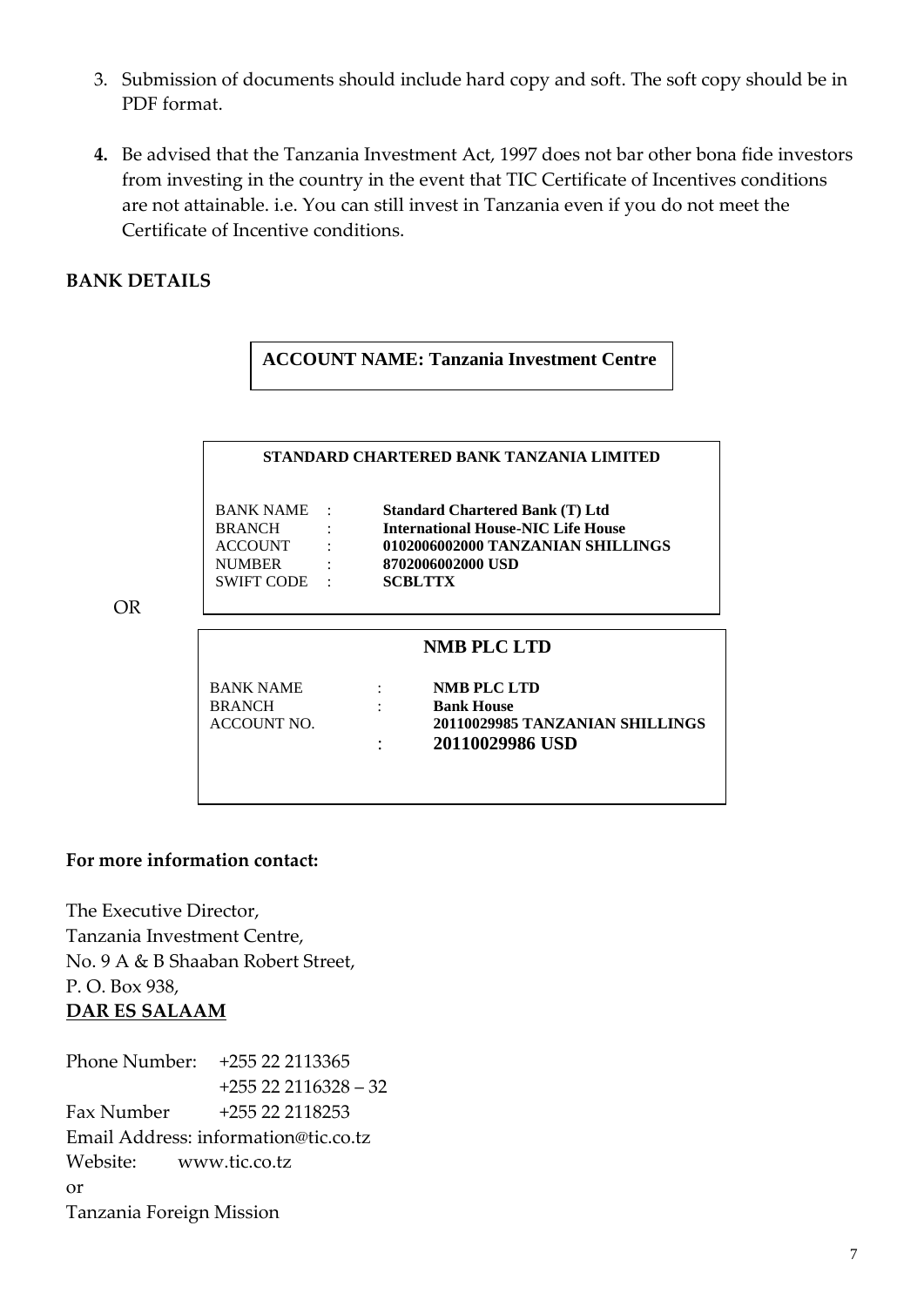- 3. Submission of documents should include hard copy and soft. The soft copy should be in PDF format.
- **4.** Be advised that the Tanzania Investment Act, 1997 does not bar other bona fide investors from investing in the country in the event that TIC Certificate of Incentives conditions are not attainable. i.e. You can still invest in Tanzania even if you do not meet the Certificate of Incentive conditions.

#### **BANK DETAILS**

OR

#### **ACCOUNT NAME: Tanzania Investment Centre**

|                    |                                                | STANDARD CHARTERED BANK TANZANIA LIMITED  |
|--------------------|------------------------------------------------|-------------------------------------------|
| BANK NAME :        |                                                | <b>Standard Chartered Bank (T) Ltd</b>    |
| <b>BRANCH</b>      | $\mathbf{r}$ and $\mathbf{r}$ and $\mathbf{r}$ | <b>International House-NIC Life House</b> |
| ACCOUNT :          |                                                | 0102006002000 TANZANIAN SHILLINGS         |
| <b>NUMBER</b>      |                                                | 8702006002000 USD                         |
| SWIFT CODE :       |                                                | <b>SCBLTTX</b>                            |
|                    |                                                |                                           |
|                    |                                                | <b>NMB PLC LTD</b>                        |
| <b>BANK NAME</b>   |                                                | NMB PLC LTD                               |
| <b>BRANCH</b>      |                                                | <b>Bank House</b>                         |
| <b>ACCOUNT NO.</b> |                                                | 20110029985 TANZANIAN SHILLINGS           |

#### **For more information contact:**

The Executive Director, Tanzania Investment Centre, No. 9 A & B Shaaban Robert Street, P. O. Box 938, **DAR ES SALAAM**

Phone Number: +255 22 2113365 +255 22 2116328 – 32 Fax Number +255 22 2118253 Email Address: information@tic.co.tz Website: www.tic.co.tz or Tanzania Foreign Mission